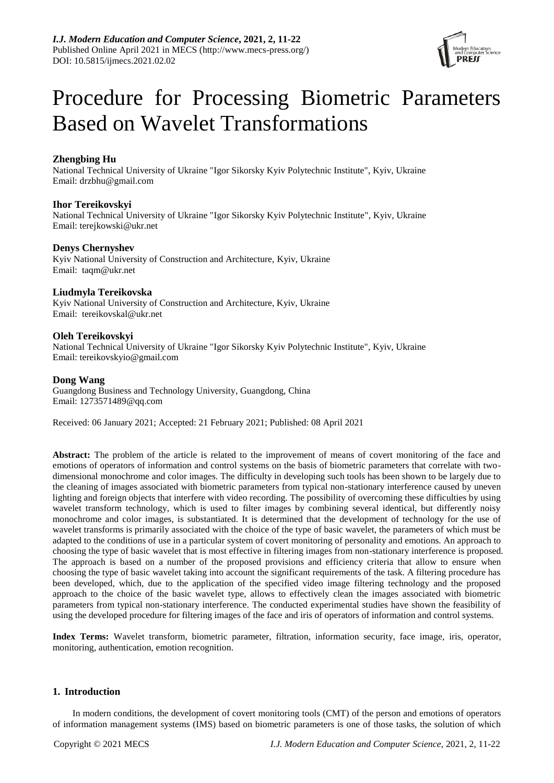

# Procedure for Processing Biometric Parameters Based on Wavelet Transformations

# **Zhengbing Hu**

National Technical University of Ukraine "Igor Sikorsky Kyiv Polytechnic Institute", Kyiv, Ukraine Email: drzbhu@gmail.com

# **Ihor Tereikovskyi**

National Technical University of Ukraine "Igor Sikorsky Kyiv Polytechnic Institute", Kyiv, Ukraine Email: terejkowski@ukr.net

## **Denys Chernyshev**

Kyiv National University of Construction and Architecture, Kyiv, Ukraine Email: taqm@ukr.net

# **Liudmyla Tereikovska**

Kyiv National University of Construction and Architecture, Kyiv, Ukraine Email: tereikovskal@ukr.net

# **Oleh Tereikovskyi**

National Technical University of Ukraine "Igor Sikorsky Kyiv Polytechnic Institute", Kyiv, Ukraine Email: tereikovskyio@gmail.com

## **Dong Wang**

Guangdong Business and Technology University, Guangdong, China Email: 1273571489@qq.com

Received: 06 January 2021; Accepted: 21 February 2021; Published: 08 April 2021

**Abstract:** The problem of the article is related to the improvement of means of covert monitoring of the face and emotions of operators of information and control systems on the basis of biometric parameters that correlate with twodimensional monochrome and color images. The difficulty in developing such tools has been shown to be largely due to the cleaning of images associated with biometric parameters from typical non-stationary interference caused by uneven lighting and foreign objects that interfere with video recording. The possibility of overcoming these difficulties by using wavelet transform technology, which is used to filter images by combining several identical, but differently noisy monochrome and color images, is substantiated. It is determined that the development of technology for the use of wavelet transforms is primarily associated with the choice of the type of basic wavelet, the parameters of which must be adapted to the conditions of use in a particular system of covert monitoring of personality and emotions. An approach to choosing the type of basic wavelet that is most effective in filtering images from non-stationary interference is proposed. The approach is based on a number of the proposed provisions and efficiency criteria that allow to ensure when choosing the type of basic wavelet taking into account the significant requirements of the task. A filtering procedure has been developed, which, due to the application of the specified video image filtering technology and the proposed approach to the choice of the basic wavelet type, allows to effectively clean the images associated with biometric parameters from typical non-stationary interference. The conducted experimental studies have shown the feasibility of using the developed procedure for filtering images of the face and iris of operators of information and control systems.

**Index Terms:** Wavelet transform, biometric parameter, filtration, information security, face image, iris, operator, monitoring, authentication, emotion recognition.

## **1. Introduction**

In modern conditions, the development of covert monitoring tools (CMT) of the person and emotions of operators of information management systems (IMS) based on biometric parameters is one of those tasks, the solution of which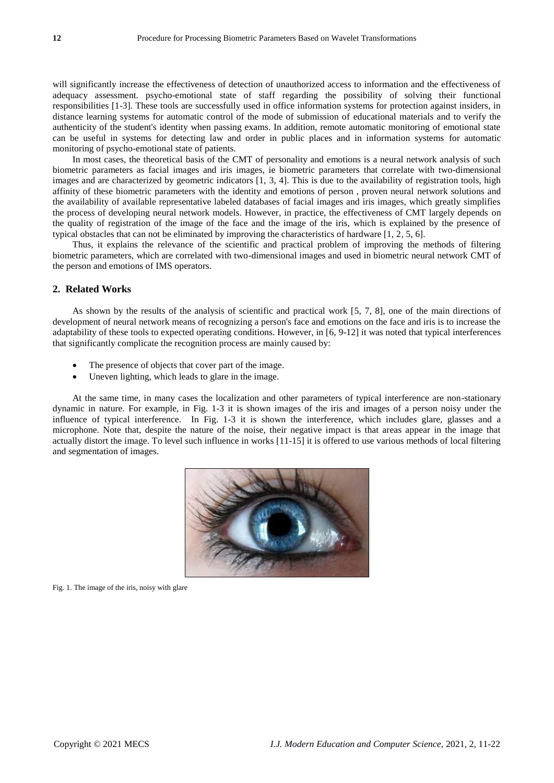will significantly increase the effectiveness of detection of unauthorized access to information and the effectiveness of adequacy assessment. psycho-emotional state of staff regarding the possibility of solving their functional responsibilities [1-3]. These tools are successfully used in office information systems for protection against insiders, in distance learning systems for automatic control of the mode of submission of educational materials and to verify the authenticity of the student's identity when passing exams. In addition, remote automatic monitoring of emotional state can be useful in systems for detecting law and order in public places and in information systems for automatic monitoring of psycho-emotional state of patients.

In most cases, the theoretical basis of the CMT of personality and emotions is a neural network analysis of such biometric parameters as facial images and iris images, ie biometric parameters that correlate with two-dimensional images and are characterized by geometric indicators [1, 3, 4]. This is due to the availability of registration tools, high affinity of these biometric parameters with the identity and emotions of person , proven neural network solutions and the availability of available representative labeled databases of facial images and iris images, which greatly simplifies the process of developing neural network models. However, in practice, the effectiveness of CMT largely depends on the quality of registration of the image of the face and the image of the iris, which is explained by the presence of typical obstacles that can not be eliminated by improving the characteristics of hardware [1, 2, 5, 6].

Thus, it explains the relevance of the scientific and practical problem of improving the methods of filtering biometric parameters, which are correlated with two-dimensional images and used in biometric neural network CMT of the person and emotions of IMS operators.

#### **2. Related Works**

As shown by the results of the analysis of scientific and practical work [5, 7, 8], one of the main directions of development of neural network means of recognizing a person's face and emotions on the face and iris is to increase the adaptability of these tools to expected operating conditions. However, in [6, 9-12] it was noted that typical interferences that significantly complicate the recognition process are mainly caused by:

- The presence of objects that cover part of the image.
- Uneven lighting, which leads to glare in the image.

At the same time, in many cases the localization and other parameters of typical interference are non-stationary dynamic in nature. For example, in Fig. 1-3 it is shown images of the iris and images of a person noisy under the influence of typical interference. In Fig. 1-3 it is shown the interference, which includes glare, glasses and a microphone. Note that, despite the nature of the noise, their negative impact is that areas appear in the image that actually distort the image. To level such influence in works [11-15] it is offered to use various methods of local filtering and segmentation of images.



Fig. 1. The image of the iris, noisy with glare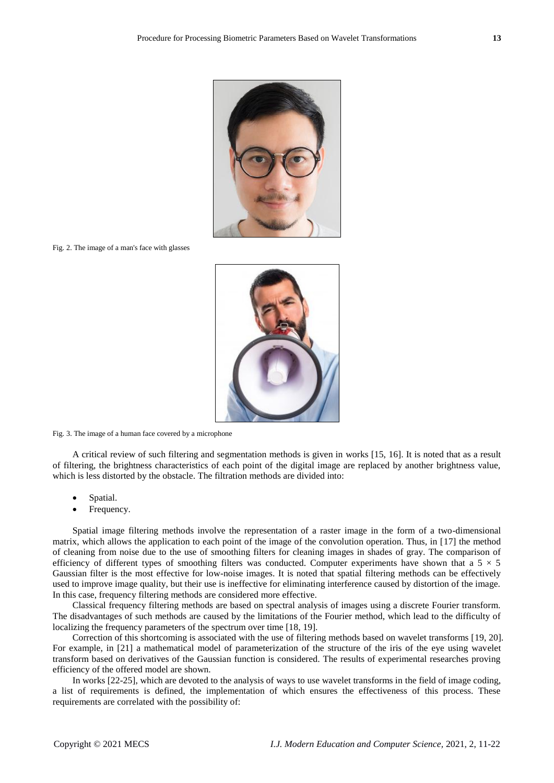

Fig. 2. The image of a man's face with glasses



Fig. 3. The image of a human face covered by a microphone

A critical review of such filtering and segmentation methods is given in works [15, 16]. It is noted that as a result of filtering, the brightness characteristics of each point of the digital image are replaced by another brightness value, which is less distorted by the obstacle. The filtration methods are divided into:

- Spatial.
- Frequency.

Spatial image filtering methods involve the representation of a raster image in the form of a two-dimensional matrix, which allows the application to each point of the image of the convolution operation. Thus, in [17] the method of cleaning from noise due to the use of smoothing filters for cleaning images in shades of gray. The comparison of efficiency of different types of smoothing filters was conducted. Computer experiments have shown that a  $5 \times 5$ Gaussian filter is the most effective for low-noise images. It is noted that spatial filtering methods can be effectively used to improve image quality, but their use is ineffective for eliminating interference caused by distortion of the image. In this case, frequency filtering methods are considered more effective.

Classical frequency filtering methods are based on spectral analysis of images using a discrete Fourier transform. The disadvantages of such methods are caused by the limitations of the Fourier method, which lead to the difficulty of localizing the frequency parameters of the spectrum over time [18, 19].

Correction of this shortcoming is associated with the use of filtering methods based on wavelet transforms [19, 20]. For example, in [21] a mathematical model of parameterization of the structure of the iris of the eye using wavelet transform based on derivatives of the Gaussian function is considered. The results of experimental researches proving efficiency of the offered model are shown.

In works [22-25], which are devoted to the analysis of ways to use wavelet transforms in the field of image coding, a list of requirements is defined, the implementation of which ensures the effectiveness of this process. These requirements are correlated with the possibility of: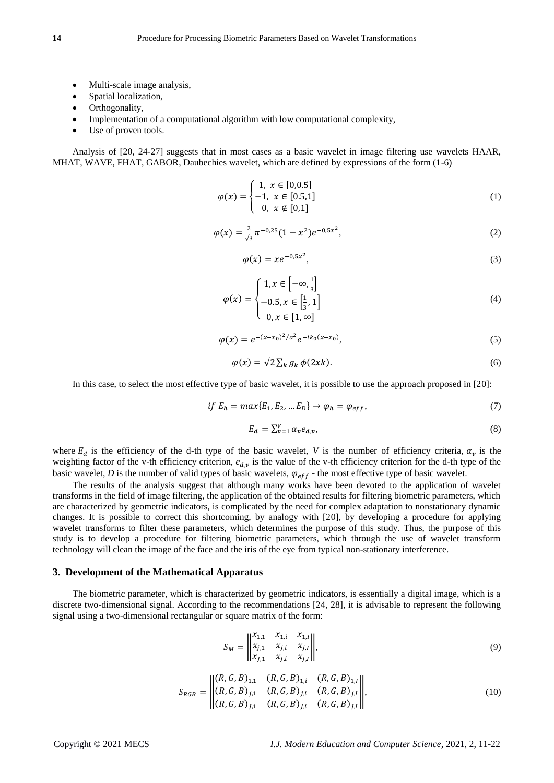- Multi-scale image analysis,
- Spatial localization,
- Orthogonality,
- Implementation of a computational algorithm with low computational complexity,
- Use of proven tools.

Analysis of [20, 24-27] suggests that in most cases as a basic wavelet in image filtering use wavelets HAAR, MHAT, WAVE, FHAT, GABOR, Daubechies wavelet, which are defined by expressions of the form (1-6)

$$
\varphi(x) = \begin{cases} 1, & x \in [0, 0.5] \\ -1, & x \in [0.5, 1] \\ 0, & x \notin [0, 1] \end{cases}
$$
(1)

$$
\varphi(x) = \frac{2}{\sqrt{3}} \pi^{-0.25} (1 - x^2) e^{-0.5x^2},\tag{2}
$$

$$
\varphi(x) = x e^{-0.5x^2},\tag{3}
$$

$$
\varphi(x) = \begin{cases} 1, x \in \left[ -\infty, \frac{1}{3} \right] \\ -0.5, x \in \left[ \frac{1}{3}, 1 \right] \\ 0, x \in \left[ 1, \infty \right] \end{cases}
$$
(4)

$$
\varphi(x) = e^{-(x-x_0)^2/a^2} e^{-ik_0(x-x_0)},\tag{5}
$$

$$
\varphi(x) = \sqrt{2} \sum_{k} g_k \, \phi(2xk). \tag{6}
$$

In this case, to select the most effective type of basic wavelet, it is possible to use the approach proposed in [20]:

$$
if Eh = max{E1, E2, ... ED} \rightarrow \varphih = \varphieff,
$$
\n(7)

$$
E_d = \sum_{\nu=1}^{V} \alpha_{\nu} e_{d,\nu},\tag{8}
$$

where  $E_d$  is the efficiency of the d-th type of the basic wavelet, *V* is the number of efficiency criteria,  $\alpha_v$  is the weighting factor of the v-th efficiency criterion,  $e_{d,v}$  is the value of the v-th efficiency criterion for the d-th type of the basic wavelet, *D* is the number of valid types of basic wavelets,  $\varphi_{eff}$  - the most effective type of basic wavelet.

The results of the analysis suggest that although many works have been devoted to the application of wavelet transforms in the field of image filtering, the application of the obtained results for filtering biometric parameters, which are characterized by geometric indicators, is complicated by the need for complex adaptation to nonstationary dynamic changes. It is possible to correct this shortcoming, by analogy with [20], by developing a procedure for applying wavelet transforms to filter these parameters, which determines the purpose of this study. Thus, the purpose of this study is to develop a procedure for filtering biometric parameters, which through the use of wavelet transform technology will clean the image of the face and the iris of the eye from typical non-stationary interference.

#### **3. Development of the Mathematical Apparatus**

The biometric parameter, which is characterized by geometric indicators, is essentially a digital image, which is a discrete two-dimensional signal. According to the recommendations [24, 28], it is advisable to represent the following signal using a two-dimensional rectangular or square matrix of the form:

$$
S_M = \begin{vmatrix} x_{1,1} & x_{1,i} & x_{1,i} \\ x_{j,1} & x_{j,i} & x_{j,i} \\ x_{j,1} & x_{j,i} & x_{j,i} \end{vmatrix},
$$
 (9)

$$
S_{RGB} = \begin{vmatrix} (R, G, B)_{1,1} & (R, G, B)_{1,i} & (R, G, B)_{1,i} \ (R, G, B)_{j,1} & (R, G, B)_{j,i} & (R, G, B)_{j,i} \ (R, G, B)_{j,1} & (R, G, B)_{j,i} & (R, G, B)_{j,i} \end{vmatrix},
$$
\n(10)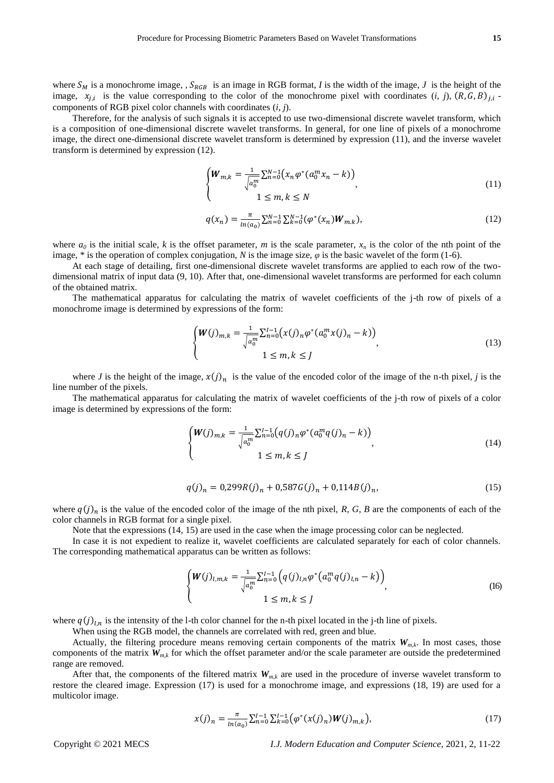where  $S_M$  is a monochrome image, ,  $S_{RGB}$  is an image in RGB format, *I* is the width of the image, *J* is the height of the image,  $x_{j,i}$  is the value corresponding to the color of the monochrome pixel with coordinates  $(i, j)$ ,  $(R, G, B)_{j,i}$ . components of RGB pixel color channels with coordinates (*i*, *j*).

Therefore, for the analysis of such signals it is accepted to use two-dimensional discrete wavelet transform, which is a composition of one-dimensional discrete wavelet transforms. In general, for one line of pixels of a monochrome image, the direct one-dimensional discrete wavelet transform is determined by expression (11), and the inverse wavelet transform is determined by expression (12).

$$
\begin{cases} \nW_{m,k} = \frac{1}{\sqrt{a_0^m}} \sum_{n=0}^{N-1} (x_n \varphi^*(a_0^m x_n - k)) \\ \n1 \le m, k \le N \n\end{cases}
$$
\n(11)

$$
q(x_n) = \frac{\pi}{\ln(a_0)} \sum_{n=0}^{N-1} \sum_{k=0}^{N-1} (\varphi^*(x_n) \mathbf{W}_{m,k}),
$$
\n(12)

where  $a_0$  is the initial scale, *k* is the offset parameter, *m* is the scale parameter,  $x_n$  is the color of the nth point of the image, \* is the operation of complex conjugation, *N* is the image size,  $\varphi$  is the basic wavelet of the form (1-6).

At each stage of detailing, first one-dimensional discrete wavelet transforms are applied to each row of the twodimensional matrix of input data (9, 10). After that, one-dimensional wavelet transforms are performed for each column of the obtained matrix.

The mathematical apparatus for calculating the matrix of wavelet coefficients of the j-th row of pixels of a monochrome image is determined by expressions of the form:

$$
\begin{cases} W(j)_{m,k} = \frac{1}{\sqrt{a_0^m}} \sum_{n=0}^{I-1} (x(j)_n \varphi^* (a_0^m x(j)_n - k)) \\ 1 \le m, k \le J \end{cases}
$$
 (13)

where *J* is the height of the image,  $x(j)_n$  is the value of the encoded color of the image of the n-th pixel, *j* is the line number of the pixels.

The mathematical apparatus for calculating the matrix of wavelet coefficients of the j-th row of pixels of a color image is determined by expressions of the form:

$$
\begin{cases} W(j)_{m,k} = \frac{1}{\sqrt{a_0^m}} \sum_{n=0}^{I-1} (q(j)_n \varphi^*(a_0^m q(j)_n - k)) \\ 1 \le m, k \le J \end{cases}
$$
 (14)

$$
q(j)_n = 0.299R(j)_n + 0.587G(j)_n + 0.114B(j)_n,\tag{15}
$$

where  $q(j)_n$  is the value of the encoded color of the image of the nth pixel, *R*, *G*, *B* are the components of each of the color channels in RGB format for a single pixel.

Note that the expressions (14, 15) are used in the case when the image processing color can be neglected.

In case it is not expedient to realize it, wavelet coefficients are calculated separately for each of color channels. The corresponding mathematical apparatus can be written as follows:

$$
\begin{cases} W(j)_{l,m,k} = \frac{1}{\sqrt{a_0^m}} \sum_{n=0}^{l-1} \left( q(j)_{l,n} \varphi^* \left( a_0^m q(j)_{l,n} - k \right) \right) \\ 1 \le m, k \le J \end{cases}
$$
 (16)

where  $q(j)_{l,n}$  is the intensity of the l-th color channel for the n-th pixel located in the j-th line of pixels.

When using the RGB model, the channels are correlated with red, green and blue.

Actually, the filtering procedure means removing certain components of the matrix  $W_{m,k}$ . In most cases, those components of the matrix  $W_{m,k}$  for which the offset parameter and/or the scale parameter are outside the predetermined range are removed.

After that, the components of the filtered matrix  $W_{m,k}$  are used in the procedure of inverse wavelet transform to restore the cleared image. Expression (17) is used for a monochrome image, and expressions (18, 19) are used for a multicolor image.

$$
x(j)_n = \frac{\pi}{\ln(a_0)} \sum_{n=0}^{1-1} \sum_{k=0}^{1-1} (\varphi^*(x(j)_n) W(j)_{m,k}),
$$
\n(17)

Copyright © 2021 MECS *I.J. Modern Education and Computer Science,* 2021, 2, 11-22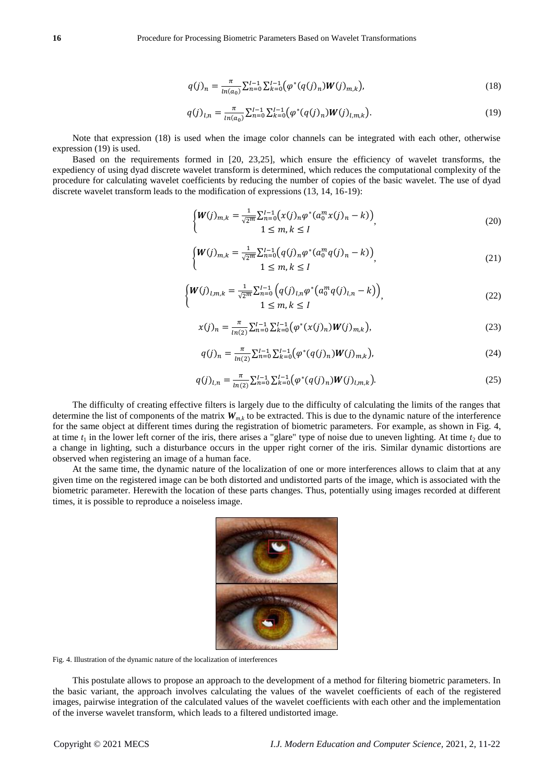$$
q(j)_n = \frac{\pi}{\ln(a_0)} \sum_{n=0}^{I-1} \sum_{k=0}^{I-1} (\varphi^*(q(j)_n) W(j)_{m,k}),
$$
\n(18)

$$
q(j)_{l,n} = \frac{\pi}{\ln(a_0)} \sum_{n=0}^{l-1} \sum_{k=0}^{l-1} (\varphi^*(q(j)_n) W(j)_{l,m,k}).
$$
\n(19)

Note that expression (18) is used when the image color channels can be integrated with each other, otherwise expression (19) is used.

Based on the requirements formed in [20, 23,25], which ensure the efficiency of wavelet transforms, the expediency of using dyad discrete wavelet transform is determined, which reduces the computational complexity of the procedure for calculating wavelet coefficients by reducing the number of copies of the basic wavelet. The use of dyad discrete wavelet transform leads to the modification of expressions (13, 14, 16-19):

$$
\begin{cases} W(j)_{m,k} = \frac{1}{\sqrt{2^m}} \sum_{n=0}^{I-1} (x(j)_n \varphi^* (a_0^m x(j)_n - k)) \\ 1 \le m, k \le I \end{cases}
$$
 (20)

$$
\begin{cases} W(j)_{m,k} = \frac{1}{\sqrt{2^m}} \sum_{n=0}^{I-1} (q(j)_n \varphi^* (a_0^m q(j)_n - k)) \\ 1 \le m, k \le I \end{cases}
$$
 (21)

$$
\begin{cases} W(j)_{l,m,k} = \frac{1}{\sqrt{2^m}} \sum_{n=0}^{l-1} \left( q(j)_{l,n} \varphi^* \left( a_0^m q(j)_{l,n} - k \right) \right) \\ 1 \le m, k \le l \end{cases}
$$
\n(22)

$$
x(j)_n = \frac{\pi}{\ln(2)} \sum_{n=0}^{I-1} \sum_{k=0}^{I-1} \left( \varphi^*(x(j)_n) W(j)_{m,k} \right),\tag{23}
$$

$$
q(j)_n = \frac{\pi}{\ln(2)} \sum_{n=0}^{I-1} \sum_{k=0}^{I-1} (\varphi^*(q(j)_n) W(j)_{m,k}),
$$
\n(24)

$$
q(j)_{l,n} = \frac{\pi}{\ln(2)} \sum_{n=0}^{l-1} \sum_{k=0}^{l-1} \left( \varphi^*(q(j)_n) W(j)_{l,m,k} \right).
$$
 (25)

The difficulty of creating effective filters is largely due to the difficulty of calculating the limits of the ranges that determine the list of components of the matrix  $W_{m,k}$  to be extracted. This is due to the dynamic nature of the interference for the same object at different times during the registration of biometric parameters. For example, as shown in Fig. 4, at time  $t_1$  in the lower left corner of the iris, there arises a "glare" type of noise due to uneven lighting. At time  $t_2$  due to a change in lighting, such a disturbance occurs in the upper right corner of the iris. Similar dynamic distortions are observed when registering an image of a human face.

At the same time, the dynamic nature of the localization of one or more interferences allows to claim that at any given time on the registered image can be both distorted and undistorted parts of the image, which is associated with the biometric parameter. Herewith the location of these parts changes. Thus, potentially using images recorded at different times, it is possible to reproduce a noiseless image.



Fig. 4. Illustration of the dynamic nature of the localization of interferences

This postulate allows to propose an approach to the development of a method for filtering biometric parameters. In the basic variant, the approach involves calculating the values of the wavelet coefficients of each of the registered images, pairwise integration of the calculated values of the wavelet coefficients with each other and the implementation of the inverse wavelet transform, which leads to a filtered undistorted image.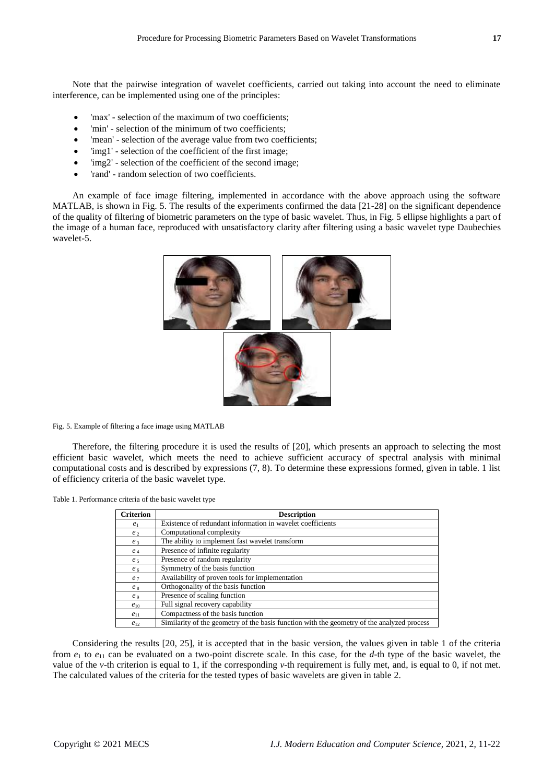Note that the pairwise integration of wavelet coefficients, carried out taking into account the need to eliminate interference, can be implemented using one of the principles:

- 'max' selection of the maximum of two coefficients;
- 'min' selection of the minimum of two coefficients;
- 'mean' selection of the average value from two coefficients;
- 'img1' selection of the coefficient of the first image;
- 'img2' selection of the coefficient of the second image;
- 'rand' random selection of two coefficients.

An example of face image filtering, implemented in accordance with the above approach using the software MATLAB, is shown in Fig. 5. The results of the experiments confirmed the data [21-28] on the significant dependence of the quality of filtering of biometric parameters on the type of basic wavelet. Thus, in Fig. 5 ellipse highlights a part of the image of a human face, reproduced with unsatisfactory clarity after filtering using a basic wavelet type Daubechies wavelet-5.



Fig. 5. Example of filtering a face image using MATLAB

Therefore, the filtering procedure it is used the results of [20], which presents an approach to selecting the most efficient basic wavelet, which meets the need to achieve sufficient accuracy of spectral analysis with minimal computational costs and is described by expressions (7, 8). To determine these expressions formed, given in table. 1 list of efficiency criteria of the basic wavelet type.

Table 1. Performance criteria of the basic wavelet type

| <b>Criterion</b> | <b>Description</b>                                                                         |  |  |  |
|------------------|--------------------------------------------------------------------------------------------|--|--|--|
| e <sub>1</sub>   | Existence of redundant information in wavelet coefficients                                 |  |  |  |
| e <sub>2</sub>   | Computational complexity                                                                   |  |  |  |
| e <sub>3</sub>   | The ability to implement fast wavelet transform                                            |  |  |  |
| $e_4$            | Presence of infinite regularity                                                            |  |  |  |
| e <sub>5</sub>   | Presence of random regularity                                                              |  |  |  |
| e <sub>6</sub>   | Symmetry of the basis function                                                             |  |  |  |
| e <sub>7</sub>   | Availability of proven tools for implementation                                            |  |  |  |
| $e_8$            | Orthogonality of the basis function                                                        |  |  |  |
| $e_{9}$          | Presence of scaling function                                                               |  |  |  |
| $e_{10}$         | Full signal recovery capability                                                            |  |  |  |
| $e_{11}$         | Compactness of the basis function                                                          |  |  |  |
| $e_{12}$         | Similarity of the geometry of the basis function with the geometry of the analyzed process |  |  |  |

Considering the results [20, 25], it is accepted that in the basic version, the values given in table 1 of the criteria from  $e_1$  to  $e_{11}$  can be evaluated on a two-point discrete scale. In this case, for the *d*-th type of the basic wavelet, the value of the *v*-th criterion is equal to 1, if the corresponding *v*-th requirement is fully met, and, is equal to 0, if not met. The calculated values of the criteria for the tested types of basic wavelets are given in table 2.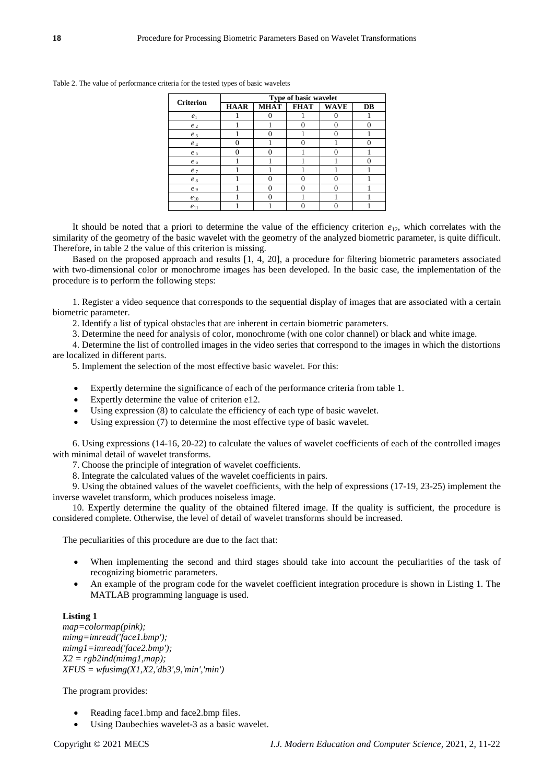| <b>Criterion</b> | Type of basic wavelet |             |             |             |    |  |
|------------------|-----------------------|-------------|-------------|-------------|----|--|
|                  | <b>HAAR</b>           | <b>MHAT</b> | <b>FHAT</b> | <b>WAVE</b> | DB |  |
| e <sub>1</sub>   |                       |             |             |             |    |  |
| e <sub>2</sub>   |                       |             |             | 0           |    |  |
| $e_3$            |                       |             |             | 0           |    |  |
| $e_4$            | 0                     |             |             |             |    |  |
| e <sub>5</sub>   | 0                     |             |             | 0           |    |  |
| e <sub>6</sub>   |                       |             |             |             |    |  |
| e <sub>7</sub>   |                       |             |             |             |    |  |
| $e_8$            |                       |             |             | 0           |    |  |
| e <sub>9</sub>   |                       |             |             | 0           |    |  |
| $e_{10}$         |                       |             |             |             |    |  |
| $e_{11}$         |                       |             |             |             |    |  |

Table 2. The value of performance criteria for the tested types of basic wavelets

It should be noted that a priori to determine the value of the efficiency criterion  $e_{12}$ , which correlates with the similarity of the geometry of the basic wavelet with the geometry of the analyzed biometric parameter, is quite difficult. Therefore, in table 2 the value of this criterion is missing.

Based on the proposed approach and results [1, 4, 20], a procedure for filtering biometric parameters associated with two-dimensional color or monochrome images has been developed. In the basic case, the implementation of the procedure is to perform the following steps:

1. Register a video sequence that corresponds to the sequential display of images that are associated with a certain biometric parameter.

- 2. Identify a list of typical obstacles that are inherent in certain biometric parameters.
- 3. Determine the need for analysis of color, monochrome (with one color channel) or black and white image.

4. Determine the list of controlled images in the video series that correspond to the images in which the distortions are localized in different parts.

5. Implement the selection of the most effective basic wavelet. For this:

- Expertly determine the significance of each of the performance criteria from table 1.
- Expertly determine the value of criterion e12.
- Using expression (8) to calculate the efficiency of each type of basic wavelet.
- Using expression (7) to determine the most effective type of basic wavelet.

6. Using expressions (14-16, 20-22) to calculate the values of wavelet coefficients of each of the controlled images with minimal detail of wavelet transforms.

- 7. Choose the principle of integration of wavelet coefficients.
- 8. Integrate the calculated values of the wavelet coefficients in pairs.

9. Using the obtained values of the wavelet coefficients, with the help of expressions (17-19, 23-25) implement the inverse wavelet transform, which produces noiseless image.

10. Expertly determine the quality of the obtained filtered image. If the quality is sufficient, the procedure is considered complete. Otherwise, the level of detail of wavelet transforms should be increased.

The peculiarities of this procedure are due to the fact that:

- When implementing the second and third stages should take into account the peculiarities of the task of recognizing biometric parameters.
- An example of the program code for the wavelet coefficient integration procedure is shown in Listing 1. The MATLAB programming language is used.

## **Listing 1**

*map=colormap(pink); mimg=imread('face1.bmp'); mimg1=imread('face2.bmp'); X2 = rgb2ind(mimg1,map); XFUS = wfusimg(X1,X2,'db3',9,'min','min')* 

The program provides:

- Reading face1.bmp and face2.bmp files.
- Using Daubechies wavelet-3 as a basic wavelet.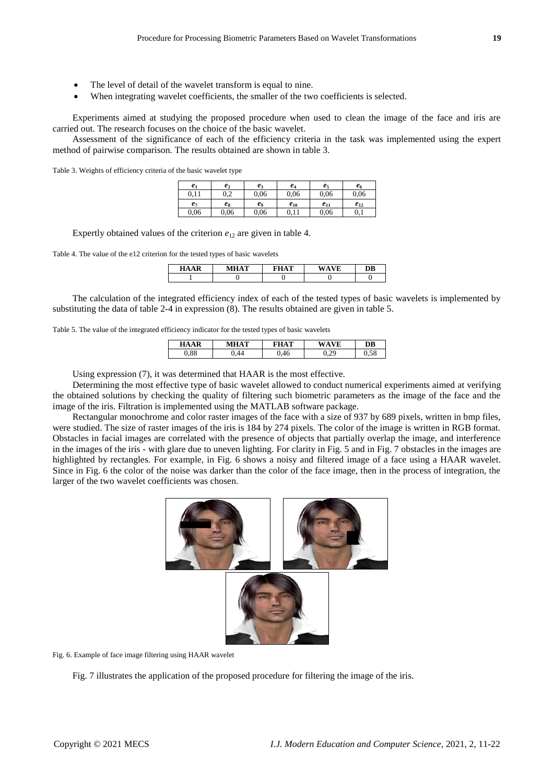- The level of detail of the wavelet transform is equal to nine.
- When integrating wavelet coefficients, the smaller of the two coefficients is selected.

Experiments aimed at studying the proposed procedure when used to clean the image of the face and iris are carried out. The research focuses on the choice of the basic wavelet.

Assessment of the significance of each of the efficiency criteria in the task was implemented using the expert method of pairwise comparison. The results obtained are shown in table 3.

Table 3. Weights of efficiency criteria of the basic wavelet type

| e <sub>1</sub> | e <sub>2</sub> | $e_3$ | $e_4$    | $e_5$    | e6       |
|----------------|----------------|-------|----------|----------|----------|
| 0.11           | ∩ ว<br>v.∠     | 0.06  | 0.06     | 0,06     | 0.06     |
| $e_7$          | es             | e9    | $e_{10}$ | $e_{11}$ | $e_{12}$ |
| 0.06           | 0.06           | 0.06  | 0.11     | 0,06     | 0,1      |

Expertly obtained values of the criterion  $e_{12}$  are given in table 4.

Table 4. The value of the e12 criterion for the tested types of basic wavelets

| D<br>НΔ | <b>BATTAMP</b><br>нΛ | <b>ETTATE</b> | 7T | DB |
|---------|----------------------|---------------|----|----|
|         |                      |               |    |    |

The calculation of the integrated efficiency index of each of the tested types of basic wavelets is implemented by substituting the data of table 2-4 in expression (8). The results obtained are given in table 5.

Table 5. The value of the integrated efficiency indicator for the tested types of basic wavelets

| HAAR      | m<br>н<br>$\mathbf{v}$ | m | Έ | DB |
|-----------|------------------------|---|---|----|
| $_{0.88}$ |                        |   |   | .  |

Using expression (7), it was determined that HAAR is the most effective.

Determining the most effective type of basic wavelet allowed to conduct numerical experiments aimed at verifying the obtained solutions by checking the quality of filtering such biometric parameters as the image of the face and the image of the iris. Filtration is implemented using the MATLAB software package.

Rectangular monochrome and color raster images of the face with a size of 937 by 689 pixels, written in bmp files, were studied. The size of raster images of the iris is 184 by 274 pixels. The color of the image is written in RGB format. Obstacles in facial images are correlated with the presence of objects that partially overlap the image, and interference in the images of the iris - with glare due to uneven lighting. For clarity in Fig. 5 and in Fig. 7 obstacles in the images are highlighted by rectangles. For example, in Fig. 6 shows a noisy and filtered image of a face using a HAAR wavelet. Since in Fig. 6 the color of the noise was darker than the color of the face image, then in the process of integration, the larger of the two wavelet coefficients was chosen.



Fig. 6. Example of face image filtering using HAAR wavelet

Fig. 7 illustrates the application of the proposed procedure for filtering the image of the iris.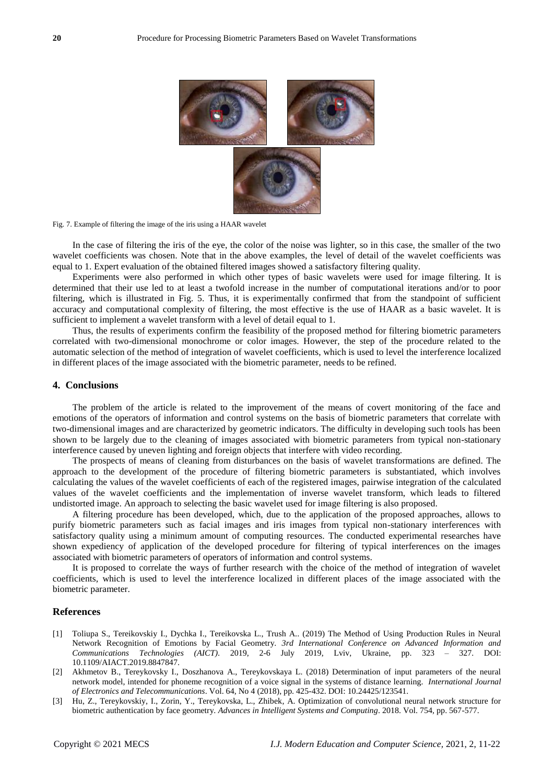

Fig. 7. Example of filtering the image of the iris using a HAAR wavelet

In the case of filtering the iris of the eye, the color of the noise was lighter, so in this case, the smaller of the two wavelet coefficients was chosen. Note that in the above examples, the level of detail of the wavelet coefficients was equal to 1. Expert evaluation of the obtained filtered images showed a satisfactory filtering quality.

Experiments were also performed in which other types of basic wavelets were used for image filtering. It is determined that their use led to at least a twofold increase in the number of computational iterations and/or to poor filtering, which is illustrated in Fig. 5. Thus, it is experimentally confirmed that from the standpoint of sufficient accuracy and computational complexity of filtering, the most effective is the use of HAAR as a basic wavelet. It is sufficient to implement a wavelet transform with a level of detail equal to 1.

Thus, the results of experiments confirm the feasibility of the proposed method for filtering biometric parameters correlated with two-dimensional monochrome or color images. However, the step of the procedure related to the automatic selection of the method of integration of wavelet coefficients, which is used to level the interference localized in different places of the image associated with the biometric parameter, needs to be refined.

#### **4. Conclusions**

The problem of the article is related to the improvement of the means of covert monitoring of the face and emotions of the operators of information and control systems on the basis of biometric parameters that correlate with two-dimensional images and are characterized by geometric indicators. The difficulty in developing such tools has been shown to be largely due to the cleaning of images associated with biometric parameters from typical non-stationary interference caused by uneven lighting and foreign objects that interfere with video recording.

The prospects of means of cleaning from disturbances on the basis of wavelet transformations are defined. The approach to the development of the procedure of filtering biometric parameters is substantiated, which involves calculating the values of the wavelet coefficients of each of the registered images, pairwise integration of the calculated values of the wavelet coefficients and the implementation of inverse wavelet transform, which leads to filtered undistorted image. An approach to selecting the basic wavelet used for image filtering is also proposed.

A filtering procedure has been developed, which, due to the application of the proposed approaches, allows to purify biometric parameters such as facial images and iris images from typical non-stationary interferences with satisfactory quality using a minimum amount of computing resources. The conducted experimental researches have shown expediency of application of the developed procedure for filtering of typical interferences on the images associated with biometric parameters of operators of information and control systems.

It is proposed to correlate the ways of further research with the choice of the method of integration of wavelet coefficients, which is used to level the interference localized in different places of the image associated with the biometric parameter.

#### **References**

- [1] Toliupa S., Tereikovskiy I., Dychka I., Tereikovska L., Trush A.. (2019) The Method of Using Production Rules in Neural Network Recognition of Emotions by Facial Geometry. *3rd International Conference on Advanced Information and Communications Technologies (AICT)*. 2019, 2-6 July 2019, Lviv, Ukraine, pp. 323 – 327. DOI: 10.1109/AIACT.2019.8847847.
- [2] Akhmetov B., Tereykovsky I., Doszhanova A., Tereykovskaya L. (2018) Determination of input parameters of the neural network model, intended for phoneme recognition of a voice signal in the systems of distance learning. *International Journal of Electronics and Telecommunications*. Vol. 64, No 4 (2018), pp. 425-432. DOI: 10.24425/123541.
- [3] Hu, Z., Tereykovskiy, I., Zorin, Y., Tereykovska, L., Zhibek, A. Optimization of convolutional neural network structure for biometric authentication by face geometry. *Advances in Intelligent Systems and Computing*. 2018. Vol. 754, pp. 567-577.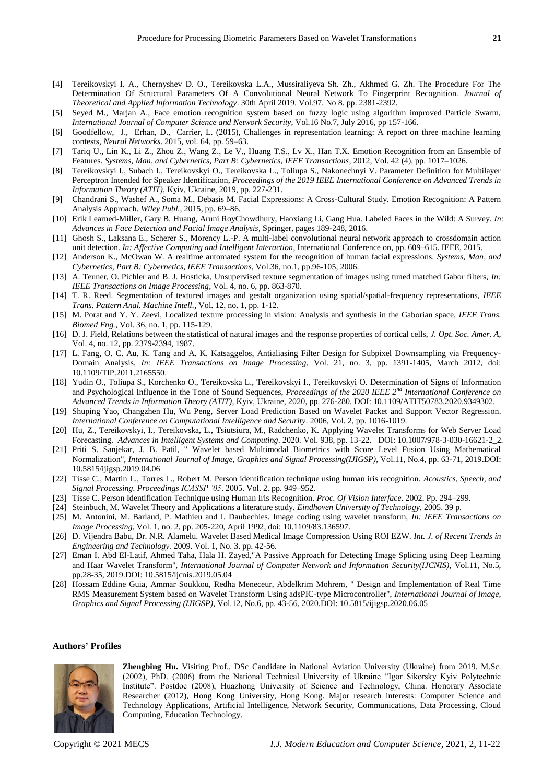- [4] Tereikovskyi I. A., Chernyshev D. O., Tereikovska L.A., Mussiraliyeva Sh. Zh., Akhmed G. Zh. The Procedure For The Determination Of Structural Parameters Of A Convolutional Neural Network To Fingerprint Recognition. *Journal of Theoretical and Applied Information Technology*. 30th April 2019. Vol.97. No 8. pp. 2381-2392.
- [5] Seyed M., Marjan A., Face emotion recognition system based on fuzzy logic using algorithm improved Particle Swarm, *International Journal of Computer Science and Network Security*, Vol.16 No.7, July 2016, pp 157-166.
- [6] Goodfellow, J., Erhan, D., Carrier, L. (2015), Challenges in representation learning: A report on three machine learning contests, *Neural Networks*. 2015, vol. 64, pp. 59–63.
- [7] Tariq U., Lin K., Li Z., Zhou Z., Wang Z., Le V., Huang T.S., Ly X., Han T.X. Emotion Recognition from an Ensemble of Features. *Systems, Man, and Cybernetics, Part B: Cybernetics, IEEE Transactions*, 2012, Vol. 42 (4), pp. 1017–1026.
- [8] Tereikovskyi I., Subach I., Tereikovskyi O., Tereikovska L., Toliupa S., Nakonechnyi V. Parameter Definition for Multilayer Perceptron Intended for Speaker Identification, *Proceedings of the 2019 IEEE International Conference on Advanced Trends in Information Theory (ATIT)*, Kyiv, Ukraine, 2019, pp. 227-231.
- [9] Chandrani S., Washef A., Soma M., Debasis M. Facial Expressions: A Cross-Cultural Study. Emotion Recognition: A Pattern Analysis Approach. *Wiley Publ.*, 2015, pp. 69–86.
- [10] Erik Learned-Miller, Gary B. Huang, Aruni RoyChowdhury, Haoxiang Li, Gang Hua. Labeled Faces in the Wild: A Survey. *In: Advances in Face Detection and Facial Image Analysis*, Springer, pages 189-248, 2016.
- [11] Ghosh S., Laksana E., Scherer S., Morency L.-P. A multi-label convolutional neural network approach to crossdomain action unit detection. *In: Affective Computing and Intelligent Interaction*, International Conference on, pp. 609–615. IEEE, 2015.
- [12] Anderson K., McOwan W. A realtime automated system for the recognition of human facial expressions. *Systems, Man, and Cybernetics, Part B: Cybernetics, IEEE Transactions*, Vol.36, no.1, pp.96-105, 2006.
- [13] A. Teuner, O. Pichler and B. J. Hosticka, Unsupervised texture segmentation of images using tuned matched Gabor filters, *In: IEEE Transactions on Image Processing*, Vol. 4, no. 6, pp. 863-870.
- [14] T. R. Reed. Segmentation of textured images and gestalt organization using spatial/spatial-frequency representations, *IEEE Trans. Pattern Anal. Machine Intell.,* Vol. 12, no. 1, pp. 1-12.
- [15] M. Porat and Y. Y. Zeevi, Localized texture processing in vision: Analysis and synthesis in the Gaborian space, *IEEE Trans. Biomed Eng.*, Vol. 36, no. 1, pp. 115-129.
- [16] D. J. Field, Relations between the statistical of natural images and the response properties of cortical cells, *J. Opt. Soc. Amer. A*, Vol. 4, no. 12, pp. 2379-2394, 1987.
- [17] L. Fang, O. C. Au, K. Tang and A. K. Katsaggelos, Antialiasing Filter Design for Subpixel Downsampling via Frequency-Domain Analysis, *In: IEEE Transactions on Image Processing*, Vol. 21, no. 3, pp. 1391-1405, March 2012, doi: 10.1109/TIP.2011.2165550.
- [18] Yudin O., Toliupa S., Korchenko O., Tereikovska L., Tereikovskyi I., Tereikovskyi O. Determination of Signs of Information and Psychological Influence in the Tone of Sound Sequences, *Proceedings of the 2020 IEEE 2 nd International Conference on Advanced Trends in Information Theory (ATIT)*, Kyiv, Ukraine, 2020, pp. 276-280. DOI: 10.1109/ATIT50783.2020.9349302.
- [19] Shuping Yao, Changzhen Hu, Wu Peng, Server Load Prediction Based on Wavelet Packet and Support Vector Regression. *International Conference on Computational Intelligence and Security*. 2006, Vol. 2, pp. 1016-1019.
- [20] Hu, Z., Tereikovskyi, I., Tereikovska, L., Tsiutsiura, M., Radchenko, K. Applying Wavelet Transforms for Web Server Load Forecasting. *Advances in Intelligent Systems and Computing*. 2020. Vol. 938, pp. 13-22. DOI: 10.1007/978-3-030-16621-2\_2.
- [21] Priti S. Sanjekar, J. B. Patil, " Wavelet based Multimodal Biometrics with Score Level Fusion Using Mathematical Normalization", *International Journal of Image, Graphics and Signal Processing(IJIGSP)*, Vol.11, No.4, pp. 63-71, 2019.DOI: 10.5815/ijigsp.2019.04.06
- [22] Tisse C., Martin L., Torres L., Robert M. Person identification technique using human iris recognition. *Acoustics, Speech, and Signal Processing. Proceedings ICASSP '05*. 2005. Vol. 2. pp. 949–952.
- [23] Tisse C. Person Identification Technique using Human Iris Recognition. *Proc. Of Vision Interface*. 2002. Pp. 294–299.
- [24] Steinbuch, M. Wavelet Theory and Applications a literature study. *Eindhoven University of Technology*, 2005. 39 p.
- [25] M. Antonini, M. Barlaud, P. Mathieu and I. Daubechies. Image coding using wavelet transform, *In: IEEE Transactions on Image Processing*, Vol. 1, no. 2, pp. 205-220, April 1992, doi: 10.1109/83.136597.
- [26] D. Vijendra Babu, Dr. N.R. Alamelu. Wavelet Based Medical Image Compression Using ROI EZW. *Int. J. of Recent Trends in Engineering and Technology.* 2009. Vol. 1, No. 3. pp. 42-56.
- [27] Eman I. Abd El-Latif, Ahmed Taha, Hala H. Zayed,"A Passive Approach for Detecting Image Splicing using Deep Learning and Haar Wavelet Transform", *International Journal of Computer Network and Information Security(IJCNIS)*, Vol.11, No.5, pp.28-35, 2019.DOI: 10.5815/ijcnis.2019.05.04
- [28] Hossam Eddine Guia, Ammar Soukkou, Redha Meneceur, Abdelkrim Mohrem, " Design and Implementation of Real Time RMS Measurement System based on Wavelet Transform Using adsPIC-type Microcontroller", *International Journal of Image, Graphics and Signal Processing (IJIGSP)*, Vol.12, No.6, pp. 43-56, 2020.DOI: 10.5815/ijigsp.2020.06.05

#### **Authors' Profiles**



**Zhengbing Hu.** Visiting Prof., DSc Candidate in National Aviation University (Ukraine) from 2019. M.Sc. (2002), PhD. (2006) from the National Technical University of Ukraine "Igor Sikorsky Kyiv Polytechnic Institute". Postdoc (2008), Huazhong University of Science and Technology, China. Honorary Associate Researcher (2012), Hong Kong University, Hong Kong. Major research interests: Computer Science and Technology Applications, Artificial Intelligence, Network Security, Communications, Data Processing, Cloud Computing, Education Technology.